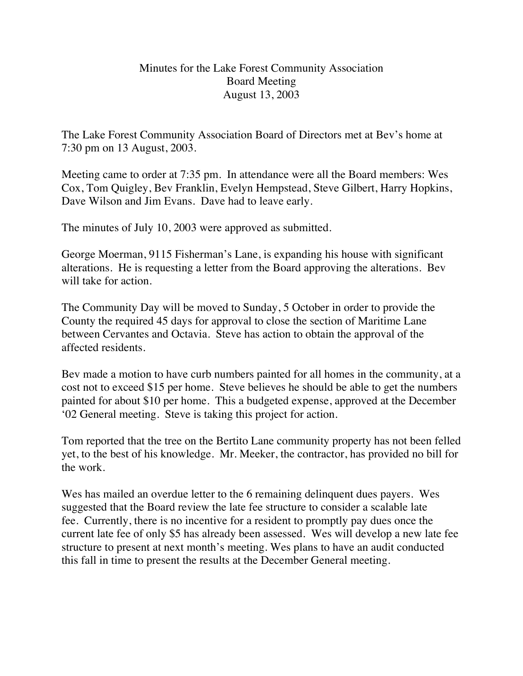## Minutes for the Lake Forest Community Association Board Meeting August 13, 2003

The Lake Forest Community Association Board of Directors met at Bev's home at 7:30 pm on 13 August, 2003.

Meeting came to order at 7:35 pm. In attendance were all the Board members: Wes Cox, Tom Quigley, Bev Franklin, Evelyn Hempstead, Steve Gilbert, Harry Hopkins, Dave Wilson and Jim Evans. Dave had to leave early.

The minutes of July 10, 2003 were approved as submitted.

George Moerman, 9115 Fisherman's Lane, is expanding his house with significant alterations. He is requesting a letter from the Board approving the alterations. Bev will take for action.

The Community Day will be moved to Sunday, 5 October in order to provide the County the required 45 days for approval to close the section of Maritime Lane between Cervantes and Octavia. Steve has action to obtain the approval of the affected residents.

Bev made a motion to have curb numbers painted for all homes in the community, at a cost not to exceed \$15 per home. Steve believes he should be able to get the numbers painted for about \$10 per home. This a budgeted expense, approved at the December '02 General meeting. Steve is taking this project for action.

Tom reported that the tree on the Bertito Lane community property has not been felled yet, to the best of his knowledge. Mr. Meeker, the contractor, has provided no bill for the work.

Wes has mailed an overdue letter to the 6 remaining delinquent dues payers. Wes suggested that the Board review the late fee structure to consider a scalable late fee. Currently, there is no incentive for a resident to promptly pay dues once the current late fee of only \$5 has already been assessed. Wes will develop a new late fee structure to present at next month's meeting. Wes plans to have an audit conducted this fall in time to present the results at the December General meeting.